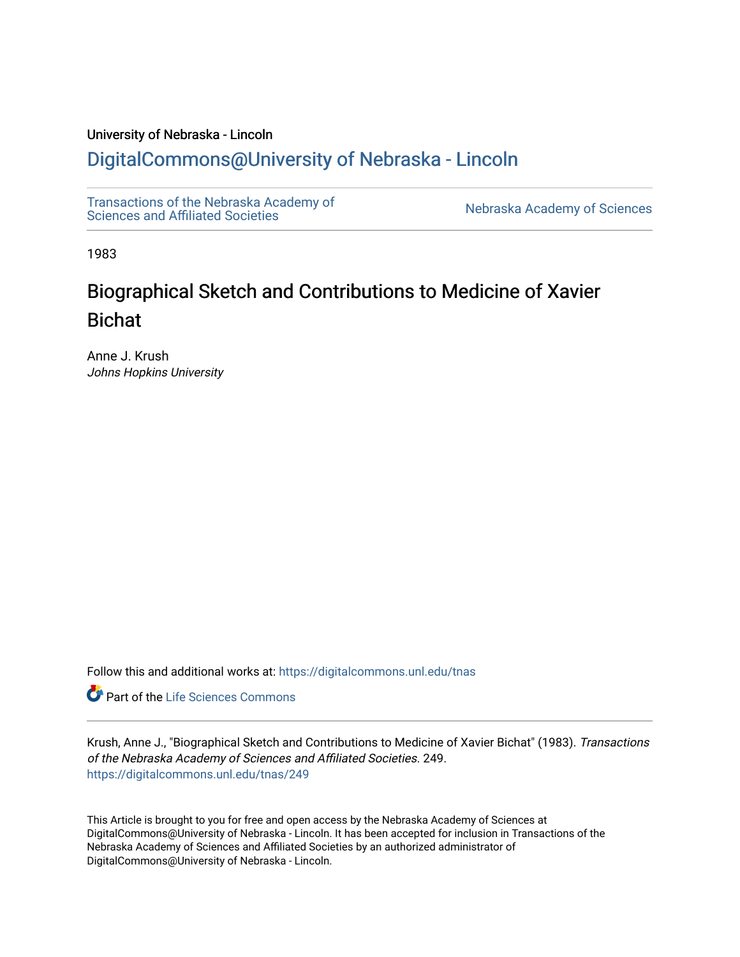### University of Nebraska - Lincoln [DigitalCommons@University of Nebraska - Lincoln](https://digitalcommons.unl.edu/)

[Transactions of the Nebraska Academy of](https://digitalcommons.unl.edu/tnas) 

Nebraska Academy of Sciences

1983

# Biographical Sketch and Contributions to Medicine of Xavier Bichat

Anne J. Krush Johns Hopkins University

Follow this and additional works at: [https://digitalcommons.unl.edu/tnas](https://digitalcommons.unl.edu/tnas?utm_source=digitalcommons.unl.edu%2Ftnas%2F249&utm_medium=PDF&utm_campaign=PDFCoverPages) 

**Part of the Life Sciences Commons** 

Krush, Anne J., "Biographical Sketch and Contributions to Medicine of Xavier Bichat" (1983). Transactions of the Nebraska Academy of Sciences and Affiliated Societies. 249. [https://digitalcommons.unl.edu/tnas/249](https://digitalcommons.unl.edu/tnas/249?utm_source=digitalcommons.unl.edu%2Ftnas%2F249&utm_medium=PDF&utm_campaign=PDFCoverPages) 

This Article is brought to you for free and open access by the Nebraska Academy of Sciences at DigitalCommons@University of Nebraska - Lincoln. It has been accepted for inclusion in Transactions of the Nebraska Academy of Sciences and Affiliated Societies by an authorized administrator of DigitalCommons@University of Nebraska - Lincoln.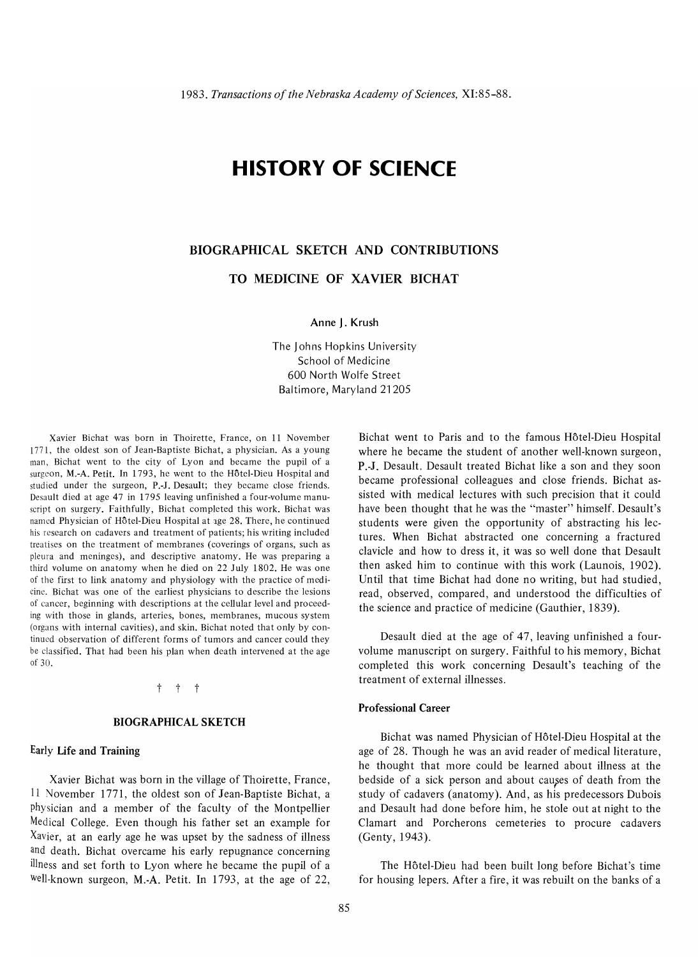## **HISTORY OF SCIENCE**

### BIOGRAPHICAL SKETCH AND CONTRIBUTIONS

TO MEDICINE OF XAVIER BICHAT

Anne J. Krush

The Johns Hopkins University School of Medicine 600 North Wolfe Street Baltimore, Maryland 21205

Xavier Bichat was born in Thoirette, France, on 11 November 1771, the oldest son of Jean-Baptiste Bichat, a physician. As a young man, Bichat went to the city of Lyon and became the pupil of a surgeon, M.-A. Petit. In 1793, he went to the Hotel-Dieu Hospital and studied under the surgeon, P.-J. Desault; they became close friends. Desault died at age 47 in 1795 leaving unfinished a four-volume manuscript on surgery. Faithfully, Bichat completed this work. Bichat was named Physician of Hôtel-Dieu Hospital at age 28. There, he continued his research on cadavers and treatment of patients; his writing included treatises on the treatment of membranes (coverings of organs, such as pleura and meninges), and descriptive anatomy. He was preparing a third volume on anatomy when he died on 22 July 1802. He was one of the first to link anatomy and physiology with the practice of medicine. Bichat was one of the earliest physicians to describe the lesions of cancer, beginning with descriptions at the cellular level and proceeding with those in glands, arteries, bones, membranes, mucous system (organs with internal cavities), and skin. Bichat noted that only by continued observation of different forms of tumors and cancer could they be classified. That had been his plan when death intervened at the age of 30.

#### $t + t$

#### BIOGRAPHICAL SKETCH

#### Early Life and Training

Xavier Bichat was born in the village of Thoirette, France, 11 November 1771, the oldest son of Jean-Baptiste Bichat, a physician and a member of the faculty of the Montpellier Medical College. Even though his father set an example for Xavier, at an early age he was upset by the sadness of illness and death. Bichat overcame his early repugnance concerning illness and set forth to Lyon where he became the pupil of a Well-known surgeon, M.-A. Petit. In 1793, at the age of 22,

Bichat went to Paris and to the famous Hôtel-Dieu Hospital where he became the student of another well-known surgeon, P.-J. Desault. Desault treated Bichat like a son and they soon became professional colleagues and close friends. Bichat assisted with medical lectures with such precision that it could have been thought that he was the "master" himself. Desault's students were given the opportunity of abstracting his lectures. When Bichat abstracted one concerning a fractured clavicle and how to dress it, it was so well done that Desault then asked him to continue with this work (Launois, 1902). Until that time Bichat had done no writing, but had studied, read, observed, compared, and understood the difficulties of the science and practice of medicine (Gauthier, 1839).

Desault died at the age of 47, leaving unfinished a fourvolume manuscript on surgery. Faithful to his memory, Bichat completed this work concerning Desault's teaching of the treatment of external illnesses.

#### Professional Career

Bichat was named Physician of Hotel-Dieu Hospital at the age of 28. Though he was an avid reader of medical literature, he thought that more could be learned about illness at the bedside of a sick person and about causes of death from the study of cadavers (anatomy). And, as his predecessors Dubois and Desault had done before him, he stole out at night to the Clamart and Porcherons cemeteries to procure cadavers (Genty,1943).

The Hôtel-Dieu had been built long before Bichat's time for housing lepers. After a fire, it was rebuilt on the banks of a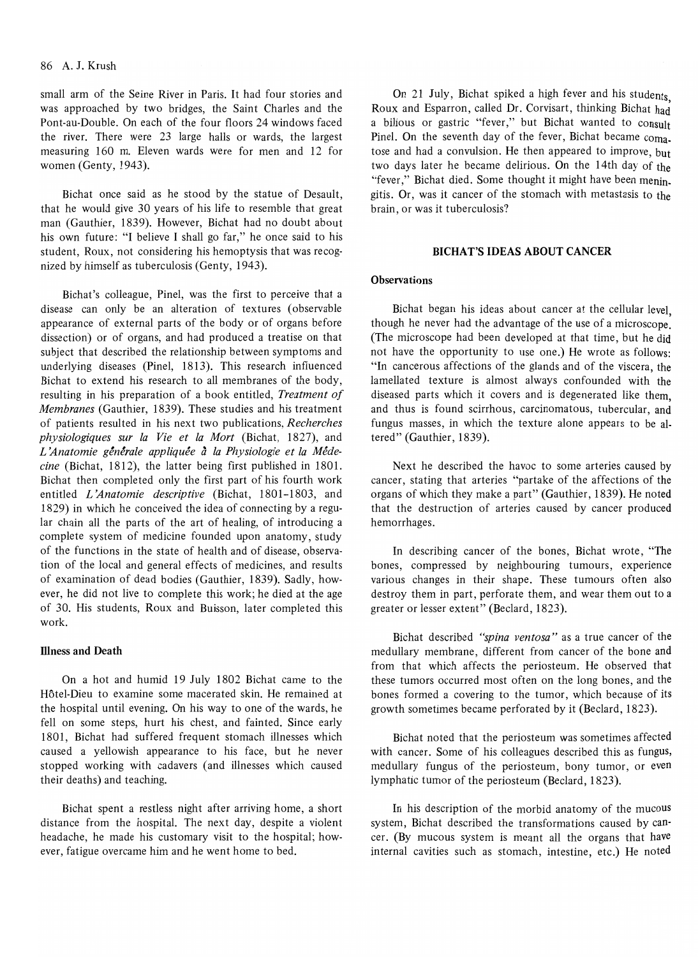small arm of the Seine River in Paris. It had four stories and was approached by two bridges, the Saint Charles and the Pont-au-Double. On each of the four floors 24 windows faced the river. There were 23 large halls or wards, the largest measuring 160 m. Eleven wards were for men and 12 for women (Genty, 1943).

Bichat once said as he stood by the statue of Desault, that he would give 30 years of his life to resemble that great man (Gauthier, 1839). However, Bichat had no doubt about his own future: "I believe I shall go far," he once said to his student, Roux, not considering his hemoptysis that was recognized by himself as tuberculosis (Genty, 1943).

Bichat's colleague, Pinel, was the first to perceive that a disease can only be an alteration of textures (observable appearance of external parts of the body or of organs before dissection) or of organs, and had produced a treatise on that subject that described the relationship between symptoms and underlying diseases (Pinel, 1813). This research influenced Bichat to extend his research to all membranes of the body, resulting in his preparation of a book entitled, *Treatment of Membranes* (Gauthier, 1839). These studies and his treatment of patients resulted in his next two publications, *Recherches physiologiques sur la Vie et la Mort* (Bichat, 1827), and L'Anatomie générale appliquée à la Physiologie et la Méde*cine* (Bichat, 1812), the latter being first published in 1801. Bichat then completed only the first part of his fourth work entitled *L 'Anatomie descriptive* (Bichat, 1801-1803, and 1829) in which he conceived the idea of connecting by a regular chain all the parts of the art of healing, of introducing a complete system of medicine founded upon anatomy, study of the functions in the state of health and of disease, observation of the local and general effects of medicines, and results of examination of dead bodies (Gauthier, 1839). Sadly, however, he did not live to complete this work; he died at the age of 30. His students, Roux and Buisson, later completed this work.

#### **Illness and Death**

On a hot and humid 19 July 1802 Bichat came to the Hôtel-Dieu to examine some macerated skin. He remained at the hospital until evening. On his way to one of the wards, he fell on some steps, hurt his chest, and fainted. Since early 1801, Bichat had suffered frequent stomach illnesses which caused a yellowish appearance to his face, but he never stopped working with cadavers (and illnesses which caused their deaths) and teaching.

Bichat spent a restless night after arriving home, a short distance from the hospital. The next day, despite a violent headache, he made his customary visit to the hospital; however, fatigue overcame him and he went home to bed.

On 21 July, Bichat spiked a high fever and his students Roux and Esparron, called Dr. Corvisart, thinking Bichat had a bilious or gastric "fever," but Bichat wanted to consult Pinel. On the seventh day of the fever, Bichat became coma\_ tose and had a convulsion. He then appeared to improve, but two days later he became delirious. On the 14th day of the "fever," Bichat died. Some thought it might have been menin. gitis. Or, was it cancer of the stomach with metastasis to the brain, or was it tuberculosis?

#### BICHAT'S IDEAS ABOUT CANCER

#### **Observations**

Bichat began his ideas about cancer at the cellular level, though he never had the advantage of the use of a microscope. (The microscope had been developed at that time, but he did not have the opportunity to use one.) He wrote as follows: "In cancerous affections of the glands and of the viscera, the lamellated texture is almost always confounded with the diseased parts which it covers and is degenerated like them, and thus is found scirrhous, carcinomatous, tubercular, and fungus masses, in which the texture alone appears to be altered" (Gauthier, 1839).

Next he described the havoc to some arteries caused by cancer, stating that arteries "partake of the affections of the organs of which they make a part" (Gauthier, 1839). He noted that the destruction of arteries caused by cancer produced hemorrhages.

In describing cancer of the bones, Bichat wrote, "The bones, compressed by neighbouring tumours, experience various changes in their shape. These tumours often also destroy them in part, perforate them, and wear them out to a greater or lesser extent" (Bedard, 1823).

Bichat described *"spina ventosa"* as a true cancer of the medullary membrane, different from cancer of the bone and from that which affects the periosteum. He observed that these tumors occurred most often on the long bones, and the bones formed a covering to the tumor, which because of its growth sometimes became perforated by it (Bedard, 1823).

Bichat noted that the periosteum was sometimes affected with cancer. Some of his colleagues described this as fungus, medullary fungus of the periosteum, bony tumor, or even lymphatic tumor of the periosteum (Bedard, 1823).

In his description of the morbid anatomy of the mucous system, Bichat described the transformations caused by cancer. (By mucous system is meant all the organs that have internal cavities such as stomach, intestine, etc.) He noted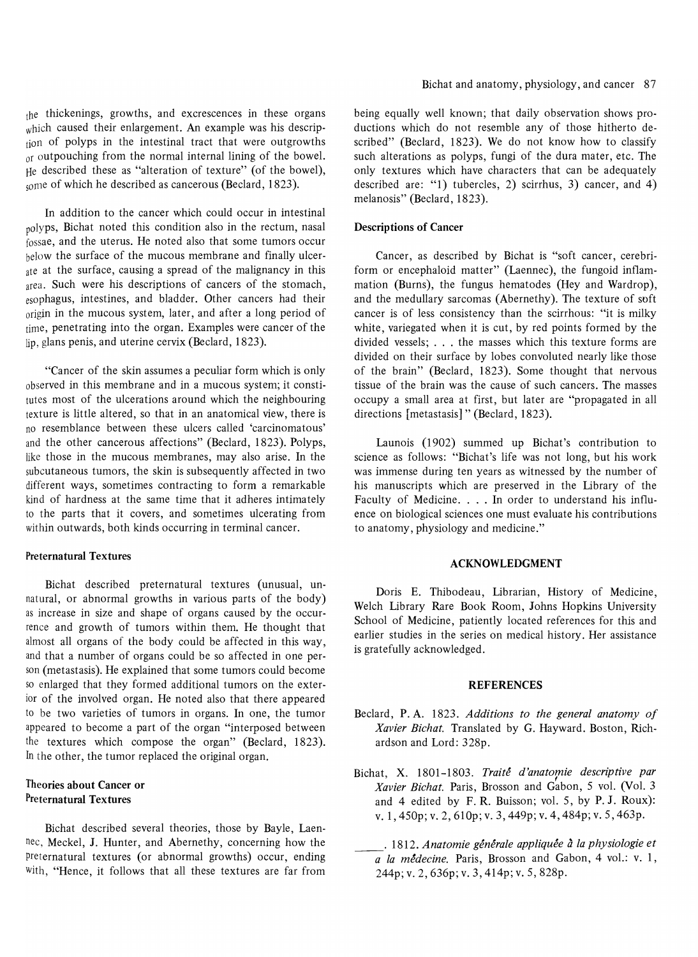the thickenings, growths, and excrescences in these organs which caused their enlargement. An example was his description of polyps in the intestinal tract that were outgrowths or outpouching from the normal internal lining of the bowel. He described these as "alteration of texture" (of the bowel), some of which he described as cancerous (Beclard, 1823).

In addition to the cancer which could occur in intestinal polyps, Bichat noted this condition also in the rectum, nasal fossae, and the uterus. He noted also that some tumors occur below the surface of the mucous membrane and finally ulcerate at the surface, causing a spread of the malignancy in this area. Such were his descriptions of cancers of the stomach, esophagus, intestines, and bladder. Other cancers had their origin in the mucous system, later, and after a long period of time, penetrating into the organ. Examples were cancer of the lip, glans penis, and uterine cervix (Beclard, 1823).

"Cancer of the skin assumes a peculiar form which is only observed in this membrane and in a mucous system; it constitutes most of the ulcerations around which the neighbouring texture is little altered, so that in an anatomical view, there is no resemblance between these ulcers called 'carcinomatous' and the other cancerous affections" (Beclard, 1823). Polyps, like those in the mucous membranes, may also arise. In the subcutaneous tumors, the skin is subsequently affected in two different ways, sometimes contracting to form a remarkable kind of hardness at the same time that it adheres intimately to the parts that it covers, and sometimes ulcerating from within outwards, both kinds occurring in terminal cancer.

#### Preternatural Textures

Bichat described preternatural textures (unusual, unnatural, or abnormal growths in various parts of the body) as increase in size and shape of organs caused by the occurrence and growth of tumors within them. He thought that almost all organs of the body could be affected in this way, and that a number of organs could be so affected in one person (metastasis). He explained that some tumors could become so enlarged that they formed additional tumors on the exterior of the involved organ. He noted also that there appeared to be two varieties of tumors in organs. In one, the tumor appeared to become a part of the organ "interposed between the textures which compose the organ" (Beclard, 1823). In the other, the tumor replaced the original organ.

#### Theories about Cancer or Preternatural Textures

Bichat described several theories, those by Bayle, Laennec, Meckel, J. Hunter, and Abernethy, concerning how the preternatural textures (or abnormal growths) occur, ending with, "Hence, it follows that all these textures are far from

being equally well known; that daily observation shows productions which do not resemble any of those hitherto described" (Beclard, 1823). We do not know how to classify such alterations as polyps, fungi of the dura mater, etc. The only textures which have characters that can be adequately described are: "1) tubercles, 2) scirrhus, 3) cancer, and 4) melanosis" (Beclard, 1823).

#### Descriptions of Cancer

Cancer, as described by Bichat is "soft cancer, cerebriform or encephaloid matter" (Laennec), the fungoid inflammation (Burns), the fungus hematodes (Hey and Wardrop), and the medullary sarcomas (Abernethy). The texture of soft cancer is of less consistency than the scirrhous: "it is milky white, variegated when it is cut, by red points formed by the divided vessels; ... the masses which this texture forms are divided on their surface by lobes convoluted nearly like those of the brain" (Beclard, 1823). Some thought that nervous tissue of the brain was the cause of such cancers. The masses occupy a small area at first, but later are "propagated in all directions [metastasis]" (Beclard, 1823).

Launois (1902) summed up Bichat's contribution to science as follows: "Bichat's life was not long, but his work was immense during ten years as witnessed by the number of his manuscripts which are preserved in the Library of the Faculty of Medicine. . . . In order to understand his influence on biological sciences one must evaluate his contributions to anatomy, physiology and medicine."

#### ACKNOWLEDGMENT

Doris E. Thibodeau, Librarian, History of Medicine, Welch Library Rare Book Room, Johns Hopkins University School of Medicine, patiently located references for this and earlier studies in the series on medical history. Her assistance is gratefully acknowledged.

#### **REFERENCES**

- Beclard, P. A. 1823. *Additions to the general anatomy of Xavier Bichat.* Translated by G. Hayward. Boston, Richardson and Lord: 328p.
- Bichat, X. 1801-1803. *Traité d'anatomie descriptive par Xavier Bichat.* Paris, Brosson and Gabon, 5 vol. (Vol. 3 and 4 edited by F. R. Buisson; vol. 5, by P. J. Roux): v.1,450p;v.2,610p;v.3,449p;v.4,484p;v.5,463p.
- . 1812. *Anatomie generale appliquee a la physiologie et a la medecine.* Paris, Brosson and Gabon, 4 vol.: v. 1, 244p;v.2,636p;v.3,414p;v.5,828p.